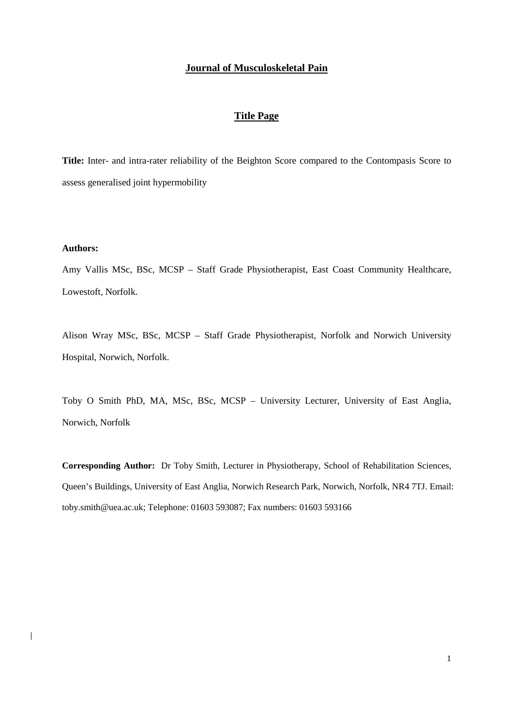### **Journal of Musculoskeletal Pain**

#### **Title Page**

**Title:** Inter- and intra-rater reliability of the Beighton Score compared to the Contompasis Score to assess generalised joint hypermobility

## **Authors:**

 $\overline{\phantom{a}}$ 

Amy Vallis MSc, BSc, MCSP – Staff Grade Physiotherapist, East Coast Community Healthcare, Lowestoft, Norfolk.

Alison Wray MSc, BSc, MCSP – Staff Grade Physiotherapist, Norfolk and Norwich University Hospital, Norwich, Norfolk.

Toby O Smith PhD, MA, MSc, BSc, MCSP – University Lecturer, University of East Anglia, Norwich, Norfolk

**Corresponding Author:** Dr Toby Smith, Lecturer in Physiotherapy, School of Rehabilitation Sciences, Queen's Buildings, University of East Anglia, Norwich Research Park, Norwich, Norfolk, NR4 7TJ. Email: toby.smith@uea.ac.uk; Telephone: 01603 593087; Fax numbers: 01603 593166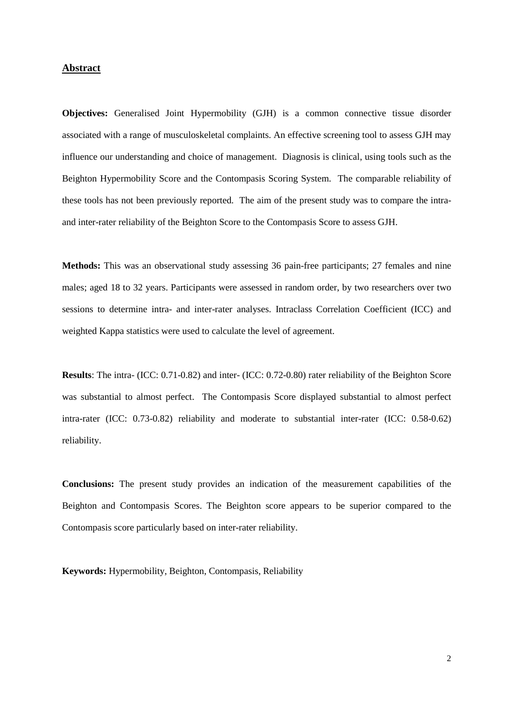#### **Abstract**

**Objectives:** Generalised Joint Hypermobility (GJH) is a common connective tissue disorder associated with a range of musculoskeletal complaints. An effective screening tool to assess GJH may influence our understanding and choice of management. Diagnosis is clinical, using tools such as the Beighton Hypermobility Score and the Contompasis Scoring System. The comparable reliability of these tools has not been previously reported. The aim of the present study was to compare the intraand inter-rater reliability of the Beighton Score to the Contompasis Score to assess GJH.

**Methods:** This was an observational study assessing 36 pain-free participants; 27 females and nine males; aged 18 to 32 years. Participants were assessed in random order, by two researchers over two sessions to determine intra- and inter-rater analyses. Intraclass Correlation Coefficient (ICC) and weighted Kappa statistics were used to calculate the level of agreement.

**Results**: The intra- (ICC: 0.71-0.82) and inter- (ICC: 0.72-0.80) rater reliability of the Beighton Score was substantial to almost perfect. The Contompasis Score displayed substantial to almost perfect intra-rater (ICC: 0.73-0.82) reliability and moderate to substantial inter-rater (ICC: 0.58-0.62) reliability.

**Conclusions:** The present study provides an indication of the measurement capabilities of the Beighton and Contompasis Scores. The Beighton score appears to be superior compared to the Contompasis score particularly based on inter-rater reliability.

**Keywords:** Hypermobility, Beighton, Contompasis, Reliability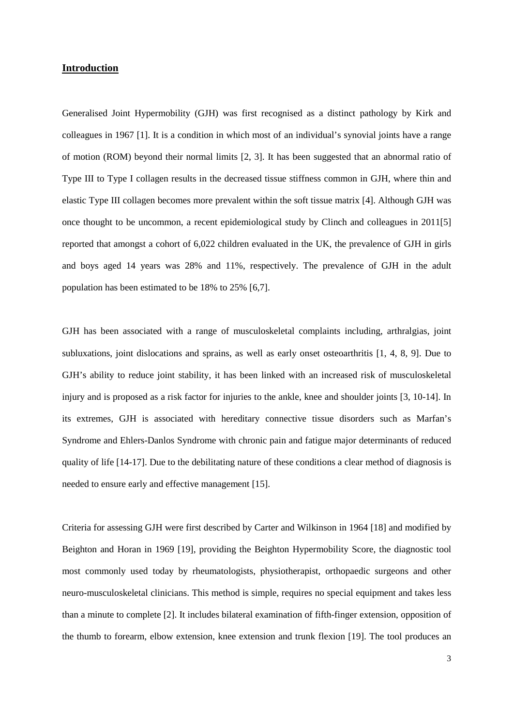## **Introduction**

Generalised Joint Hypermobility (GJH) was first recognised as a distinct pathology by Kirk and colleagues in 1967 [1]. It is a condition in which most of an individual's synovial joints have a range of motion (ROM) beyond their normal limits [2, 3]. It has been suggested that an abnormal ratio of Type III to Type I collagen results in the decreased tissue stiffness common in GJH, where thin and elastic Type III collagen becomes more prevalent within the soft tissue matrix [4]. Although GJH was once thought to be uncommon, a recent epidemiological study by Clinch and colleagues in 2011[5] reported that amongst a cohort of 6,022 children evaluated in the UK, the prevalence of GJH in girls and boys aged 14 years was 28% and 11%, respectively. The prevalence of GJH in the adult population has been estimated to be 18% to 25% [6,7].

GJH has been associated with a range of musculoskeletal complaints including, arthralgias, joint subluxations, joint dislocations and sprains, as well as early onset osteoarthritis [1, 4, 8, 9]. Due to GJH's ability to reduce joint stability, it has been linked with an increased risk of musculoskeletal injury and is proposed as a risk factor for injuries to the ankle, knee and shoulder joints [3, 10-14]. In its extremes, GJH is associated with hereditary connective tissue disorders such as Marfan's Syndrome and Ehlers-Danlos Syndrome with chronic pain and fatigue major determinants of reduced quality of life [14-17]. Due to the debilitating nature of these conditions a clear method of diagnosis is needed to ensure early and effective management [15].

Criteria for assessing GJH were first described by Carter and Wilkinson in 1964 [18] and modified by Beighton and Horan in 1969 [19], providing the Beighton Hypermobility Score, the diagnostic tool most commonly used today by rheumatologists, physiotherapist, orthopaedic surgeons and other neuro-musculoskeletal clinicians. This method is simple, requires no special equipment and takes less than a minute to complete [2]. It includes bilateral examination of fifth-finger extension, opposition of the thumb to forearm, elbow extension, knee extension and trunk flexion [19]. The tool produces an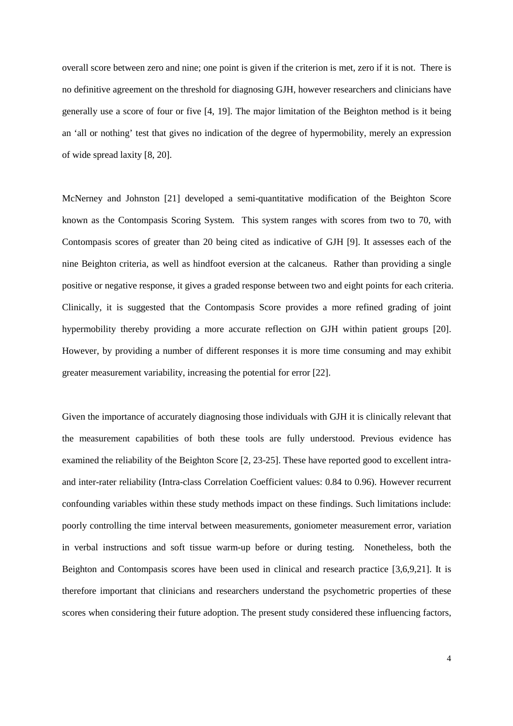overall score between zero and nine; one point is given if the criterion is met, zero if it is not. There is no definitive agreement on the threshold for diagnosing GJH, however researchers and clinicians have generally use a score of four or five [4, 19]. The major limitation of the Beighton method is it being an 'all or nothing' test that gives no indication of the degree of hypermobility, merely an expression of wide spread laxity [8, 20].

McNerney and Johnston [21] developed a semi-quantitative modification of the Beighton Score known as the Contompasis Scoring System. This system ranges with scores from two to 70, with Contompasis scores of greater than 20 being cited as indicative of GJH [9]. It assesses each of the nine Beighton criteria, as well as hindfoot eversion at the calcaneus. Rather than providing a single positive or negative response, it gives a graded response between two and eight points for each criteria. Clinically, it is suggested that the Contompasis Score provides a more refined grading of joint hypermobility thereby providing a more accurate reflection on GJH within patient groups [20]. However, by providing a number of different responses it is more time consuming and may exhibit greater measurement variability, increasing the potential for error [22].

Given the importance of accurately diagnosing those individuals with GJH it is clinically relevant that the measurement capabilities of both these tools are fully understood. Previous evidence has examined the reliability of the Beighton Score [2, 23-25]. These have reported good to excellent intraand inter-rater reliability (Intra-class Correlation Coefficient values: 0.84 to 0.96). However recurrent confounding variables within these study methods impact on these findings. Such limitations include: poorly controlling the time interval between measurements, goniometer measurement error, variation in verbal instructions and soft tissue warm-up before or during testing. Nonetheless, both the Beighton and Contompasis scores have been used in clinical and research practice [3,6,9,21]. It is therefore important that clinicians and researchers understand the psychometric properties of these scores when considering their future adoption. The present study considered these influencing factors,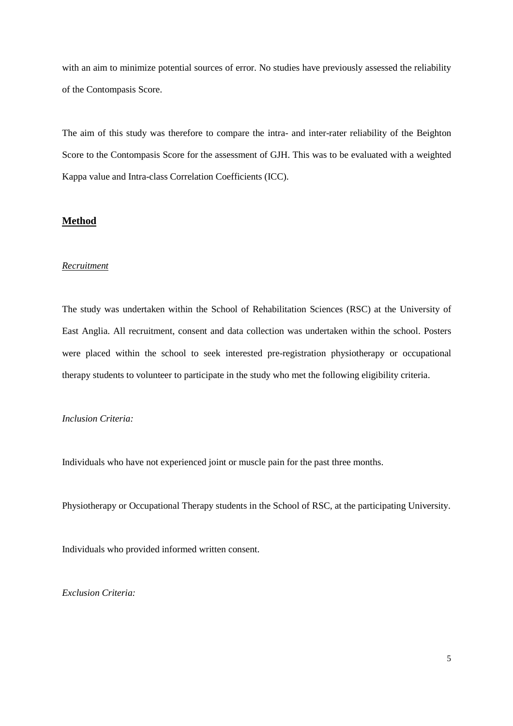with an aim to minimize potential sources of error. No studies have previously assessed the reliability of the Contompasis Score.

The aim of this study was therefore to compare the intra- and inter-rater reliability of the Beighton Score to the Contompasis Score for the assessment of GJH. This was to be evaluated with a weighted Kappa value and Intra-class Correlation Coefficients (ICC).

## **Method**

#### *Recruitment*

The study was undertaken within the School of Rehabilitation Sciences (RSC) at the University of East Anglia. All recruitment, consent and data collection was undertaken within the school. Posters were placed within the school to seek interested pre-registration physiotherapy or occupational therapy students to volunteer to participate in the study who met the following eligibility criteria.

#### *Inclusion Criteria:*

Individuals who have not experienced joint or muscle pain for the past three months.

Physiotherapy or Occupational Therapy students in the School of RSC, at the participating University.

Individuals who provided informed written consent.

*Exclusion Criteria:*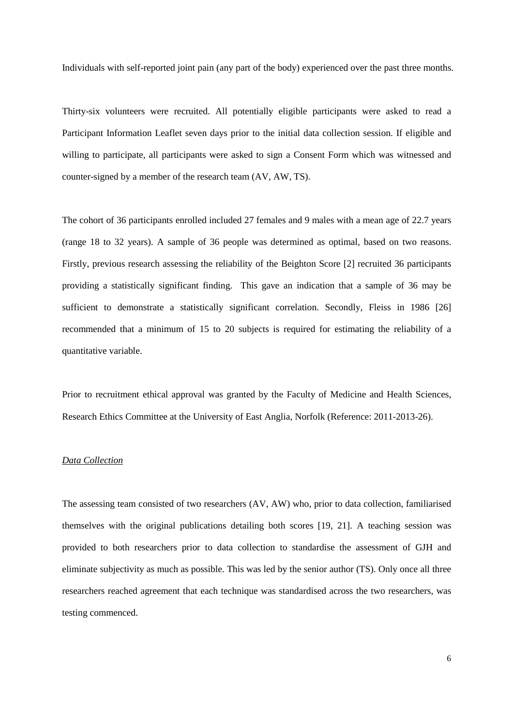Individuals with self-reported joint pain (any part of the body) experienced over the past three months.

Thirty-six volunteers were recruited. All potentially eligible participants were asked to read a Participant Information Leaflet seven days prior to the initial data collection session. If eligible and willing to participate, all participants were asked to sign a Consent Form which was witnessed and counter-signed by a member of the research team (AV, AW, TS).

The cohort of 36 participants enrolled included 27 females and 9 males with a mean age of 22.7 years (range 18 to 32 years). A sample of 36 people was determined as optimal, based on two reasons. Firstly, previous research assessing the reliability of the Beighton Score [2] recruited 36 participants providing a statistically significant finding. This gave an indication that a sample of 36 may be sufficient to demonstrate a statistically significant correlation. Secondly, Fleiss in 1986 [26] recommended that a minimum of 15 to 20 subjects is required for estimating the reliability of a quantitative variable.

Prior to recruitment ethical approval was granted by the Faculty of Medicine and Health Sciences, Research Ethics Committee at the University of East Anglia, Norfolk (Reference: 2011-2013-26).

## *Data Collection*

The assessing team consisted of two researchers (AV, AW) who, prior to data collection, familiarised themselves with the original publications detailing both scores [19, 21]. A teaching session was provided to both researchers prior to data collection to standardise the assessment of GJH and eliminate subjectivity as much as possible. This was led by the senior author (TS). Only once all three researchers reached agreement that each technique was standardised across the two researchers, was testing commenced.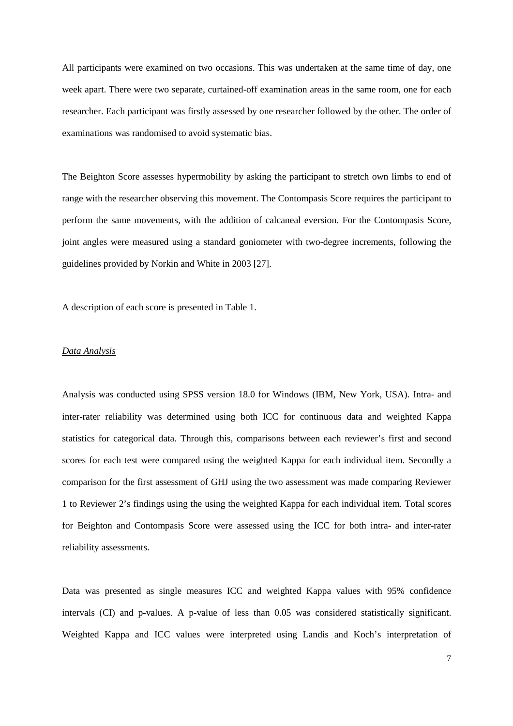All participants were examined on two occasions. This was undertaken at the same time of day, one week apart. There were two separate, curtained-off examination areas in the same room, one for each researcher. Each participant was firstly assessed by one researcher followed by the other. The order of examinations was randomised to avoid systematic bias.

The Beighton Score assesses hypermobility by asking the participant to stretch own limbs to end of range with the researcher observing this movement. The Contompasis Score requires the participant to perform the same movements, with the addition of calcaneal eversion. For the Contompasis Score, joint angles were measured using a standard goniometer with two-degree increments, following the guidelines provided by Norkin and White in 2003 [27].

A description of each score is presented in Table 1.

#### *Data Analysis*

Analysis was conducted using SPSS version 18.0 for Windows (IBM, New York, USA). Intra- and inter-rater reliability was determined using both ICC for continuous data and weighted Kappa statistics for categorical data. Through this, comparisons between each reviewer's first and second scores for each test were compared using the weighted Kappa for each individual item. Secondly a comparison for the first assessment of GHJ using the two assessment was made comparing Reviewer 1 to Reviewer 2's findings using the using the weighted Kappa for each individual item. Total scores for Beighton and Contompasis Score were assessed using the ICC for both intra- and inter-rater reliability assessments.

Data was presented as single measures ICC and weighted Kappa values with 95% confidence intervals (CI) and p-values. A p-value of less than 0.05 was considered statistically significant. Weighted Kappa and ICC values were interpreted using Landis and Koch's interpretation of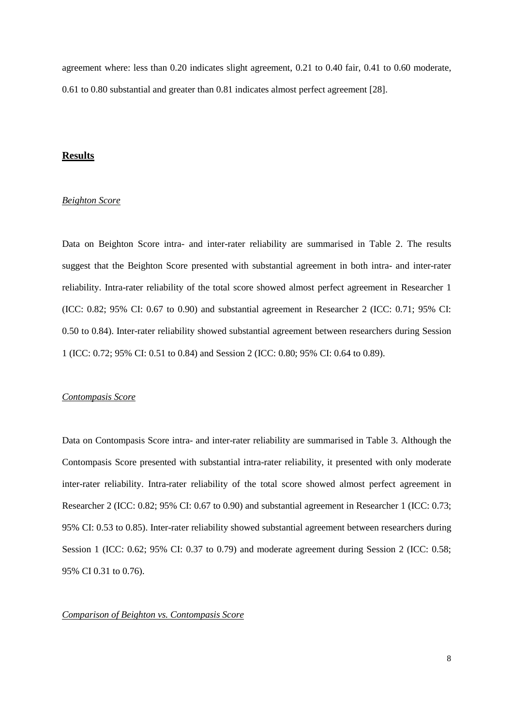agreement where: less than 0.20 indicates slight agreement, 0.21 to 0.40 fair, 0.41 to 0.60 moderate, 0.61 to 0.80 substantial and greater than 0.81 indicates almost perfect agreement [28].

### **Results**

### *Beighton Score*

Data on Beighton Score intra- and inter-rater reliability are summarised in Table 2. The results suggest that the Beighton Score presented with substantial agreement in both intra- and inter-rater reliability. Intra-rater reliability of the total score showed almost perfect agreement in Researcher 1 (ICC: 0.82; 95% CI: 0.67 to 0.90) and substantial agreement in Researcher 2 (ICC: 0.71; 95% CI: 0.50 to 0.84). Inter-rater reliability showed substantial agreement between researchers during Session 1 (ICC: 0.72; 95% CI: 0.51 to 0.84) and Session 2 (ICC: 0.80; 95% CI: 0.64 to 0.89).

#### *Contompasis Score*

Data on Contompasis Score intra- and inter-rater reliability are summarised in Table 3. Although the Contompasis Score presented with substantial intra-rater reliability, it presented with only moderate inter-rater reliability. Intra-rater reliability of the total score showed almost perfect agreement in Researcher 2 (ICC: 0.82; 95% CI: 0.67 to 0.90) and substantial agreement in Researcher 1 (ICC: 0.73; 95% CI: 0.53 to 0.85). Inter-rater reliability showed substantial agreement between researchers during Session 1 (ICC: 0.62; 95% CI: 0.37 to 0.79) and moderate agreement during Session 2 (ICC: 0.58; 95% CI 0.31 to 0.76).

#### *Comparison of Beighton vs. Contompasis Score*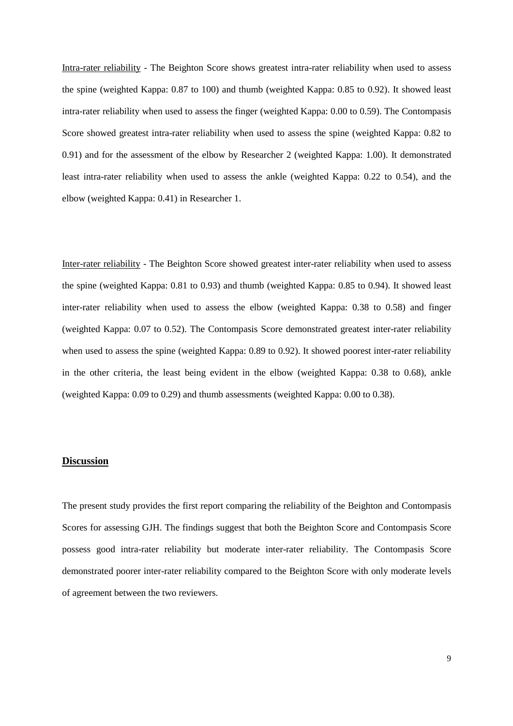Intra-rater reliability - The Beighton Score shows greatest intra-rater reliability when used to assess the spine (weighted Kappa: 0.87 to 100) and thumb (weighted Kappa: 0.85 to 0.92). It showed least intra-rater reliability when used to assess the finger (weighted Kappa: 0.00 to 0.59). The Contompasis Score showed greatest intra-rater reliability when used to assess the spine (weighted Kappa: 0.82 to 0.91) and for the assessment of the elbow by Researcher 2 (weighted Kappa: 1.00). It demonstrated least intra-rater reliability when used to assess the ankle (weighted Kappa: 0.22 to 0.54), and the elbow (weighted Kappa: 0.41) in Researcher 1.

Inter-rater reliability - The Beighton Score showed greatest inter-rater reliability when used to assess the spine (weighted Kappa: 0.81 to 0.93) and thumb (weighted Kappa: 0.85 to 0.94). It showed least inter-rater reliability when used to assess the elbow (weighted Kappa: 0.38 to 0.58) and finger (weighted Kappa: 0.07 to 0.52). The Contompasis Score demonstrated greatest inter-rater reliability when used to assess the spine (weighted Kappa: 0.89 to 0.92). It showed poorest inter-rater reliability in the other criteria, the least being evident in the elbow (weighted Kappa: 0.38 to 0.68), ankle (weighted Kappa: 0.09 to 0.29) and thumb assessments (weighted Kappa: 0.00 to 0.38).

## **Discussion**

The present study provides the first report comparing the reliability of the Beighton and Contompasis Scores for assessing GJH. The findings suggest that both the Beighton Score and Contompasis Score possess good intra-rater reliability but moderate inter-rater reliability. The Contompasis Score demonstrated poorer inter-rater reliability compared to the Beighton Score with only moderate levels of agreement between the two reviewers.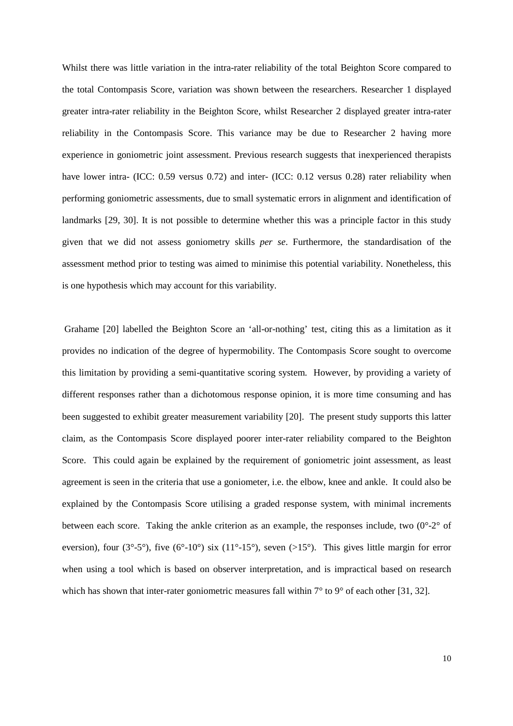Whilst there was little variation in the intra-rater reliability of the total Beighton Score compared to the total Contompasis Score, variation was shown between the researchers. Researcher 1 displayed greater intra-rater reliability in the Beighton Score, whilst Researcher 2 displayed greater intra-rater reliability in the Contompasis Score. This variance may be due to Researcher 2 having more experience in goniometric joint assessment. Previous research suggests that inexperienced therapists have lower intra- (ICC: 0.59 versus 0.72) and inter- (ICC: 0.12 versus 0.28) rater reliability when performing goniometric assessments, due to small systematic errors in alignment and identification of landmarks [29, 30]. It is not possible to determine whether this was a principle factor in this study given that we did not assess goniometry skills *per se*. Furthermore, the standardisation of the assessment method prior to testing was aimed to minimise this potential variability. Nonetheless, this is one hypothesis which may account for this variability.

 Grahame [20] labelled the Beighton Score an 'all-or-nothing' test, citing this as a limitation as it provides no indication of the degree of hypermobility. The Contompasis Score sought to overcome this limitation by providing a semi-quantitative scoring system. However, by providing a variety of different responses rather than a dichotomous response opinion, it is more time consuming and has been suggested to exhibit greater measurement variability [20]. The present study supports this latter claim, as the Contompasis Score displayed poorer inter-rater reliability compared to the Beighton Score. This could again be explained by the requirement of goniometric joint assessment, as least agreement is seen in the criteria that use a goniometer, i.e. the elbow, knee and ankle. It could also be explained by the Contompasis Score utilising a graded response system, with minimal increments between each score. Taking the ankle criterion as an example, the responses include, two  $(0^{\circ}-2^{\circ})$  of eversion), four ( $3^{\circ}$ -5°), five ( $6^{\circ}$ -10°) six ( $11^{\circ}$ -15°), seven ( $>15^{\circ}$ ). This gives little margin for error when using a tool which is based on observer interpretation, and is impractical based on research which has shown that inter-rater goniometric measures fall within  $7^{\circ}$  to  $9^{\circ}$  of each other [31, 32].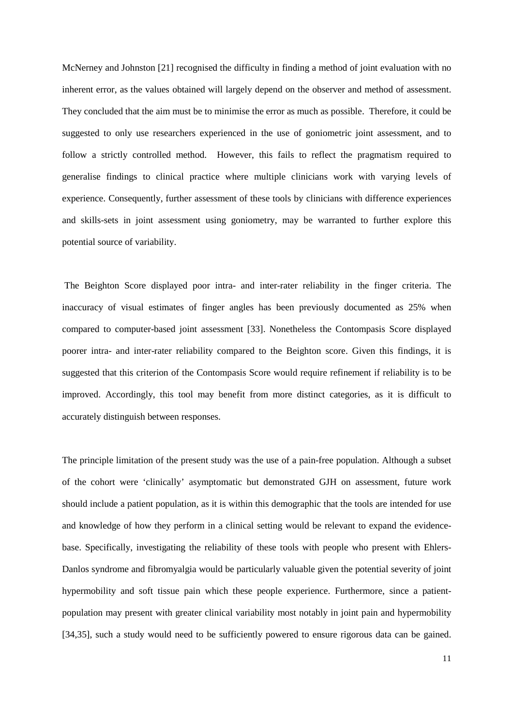McNerney and Johnston [21] recognised the difficulty in finding a method of joint evaluation with no inherent error, as the values obtained will largely depend on the observer and method of assessment. They concluded that the aim must be to minimise the error as much as possible. Therefore, it could be suggested to only use researchers experienced in the use of goniometric joint assessment, and to follow a strictly controlled method. However, this fails to reflect the pragmatism required to generalise findings to clinical practice where multiple clinicians work with varying levels of experience. Consequently, further assessment of these tools by clinicians with difference experiences and skills-sets in joint assessment using goniometry, may be warranted to further explore this potential source of variability.

 The Beighton Score displayed poor intra- and inter-rater reliability in the finger criteria. The inaccuracy of visual estimates of finger angles has been previously documented as 25% when compared to computer-based joint assessment [33]. Nonetheless the Contompasis Score displayed poorer intra- and inter-rater reliability compared to the Beighton score. Given this findings, it is suggested that this criterion of the Contompasis Score would require refinement if reliability is to be improved. Accordingly, this tool may benefit from more distinct categories, as it is difficult to accurately distinguish between responses.

The principle limitation of the present study was the use of a pain-free population. Although a subset of the cohort were 'clinically' asymptomatic but demonstrated GJH on assessment, future work should include a patient population, as it is within this demographic that the tools are intended for use and knowledge of how they perform in a clinical setting would be relevant to expand the evidencebase. Specifically, investigating the reliability of these tools with people who present with Ehlers-Danlos syndrome and fibromyalgia would be particularly valuable given the potential severity of joint hypermobility and soft tissue pain which these people experience. Furthermore, since a patientpopulation may present with greater clinical variability most notably in joint pain and hypermobility [34,35], such a study would need to be sufficiently powered to ensure rigorous data can be gained.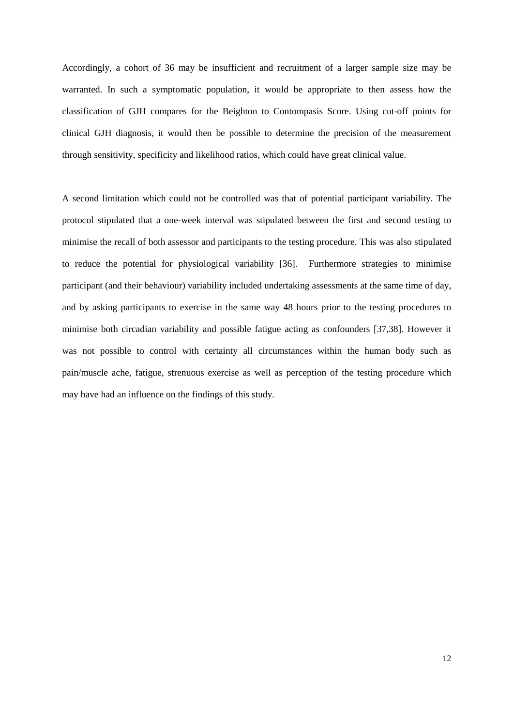Accordingly, a cohort of 36 may be insufficient and recruitment of a larger sample size may be warranted. In such a symptomatic population, it would be appropriate to then assess how the classification of GJH compares for the Beighton to Contompasis Score. Using cut-off points for clinical GJH diagnosis, it would then be possible to determine the precision of the measurement through sensitivity, specificity and likelihood ratios, which could have great clinical value.

A second limitation which could not be controlled was that of potential participant variability. The protocol stipulated that a one-week interval was stipulated between the first and second testing to minimise the recall of both assessor and participants to the testing procedure. This was also stipulated to reduce the potential for physiological variability [36]. Furthermore strategies to minimise participant (and their behaviour) variability included undertaking assessments at the same time of day, and by asking participants to exercise in the same way 48 hours prior to the testing procedures to minimise both circadian variability and possible fatigue acting as confounders [37,38]. However it was not possible to control with certainty all circumstances within the human body such as pain/muscle ache, fatigue, strenuous exercise as well as perception of the testing procedure which may have had an influence on the findings of this study.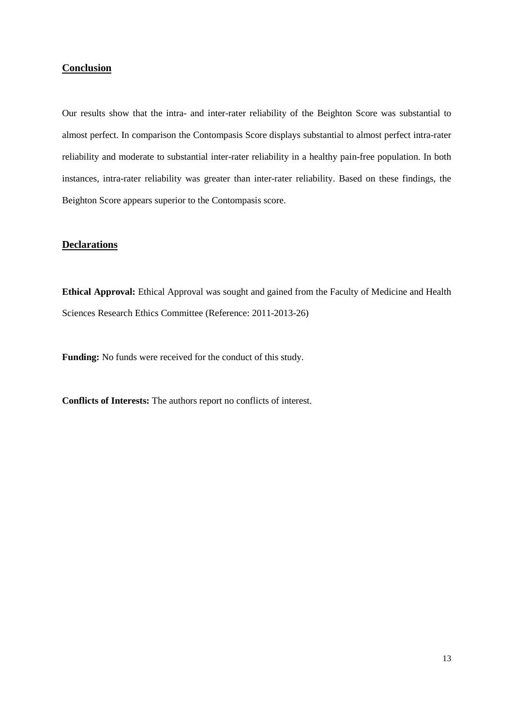## **Conclusion**

Our results show that the intra- and inter-rater reliability of the Beighton Score was substantial to almost perfect. In comparison the Contompasis Score displays substantial to almost perfect intra-rater reliability and moderate to substantial inter-rater reliability in a healthy pain-free population. In both instances, intra-rater reliability was greater than inter-rater reliability. Based on these findings, the Beighton Score appears superior to the Contompasis score.

# **Declarations**

**Ethical Approval:** Ethical Approval was sought and gained from the Faculty of Medicine and Health Sciences Research Ethics Committee (Reference: 2011-2013-26)

**Funding:** No funds were received for the conduct of this study.

**Conflicts of Interests:** The authors report no conflicts of interest.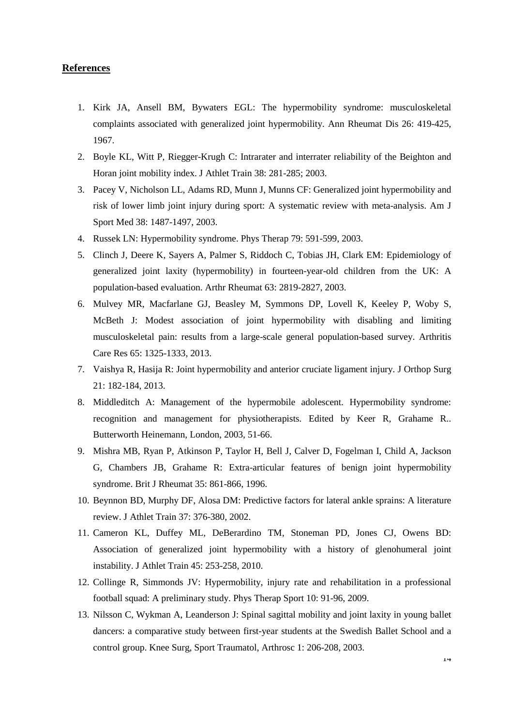# **References**

- 1. Kirk JA, Ansell BM, Bywaters EGL: The hypermobility syndrome: musculoskeletal complaints associated with generalized joint hypermobility. Ann Rheumat Dis 26: 419-425, 1967.
- 2. Boyle KL, Witt P, Riegger-Krugh C: Intrarater and interrater reliability of the Beighton and Horan joint mobility index. J Athlet Train 38: 281-285; 2003.
- 3. Pacey V, Nicholson LL, Adams RD, Munn J, Munns CF: Generalized joint hypermobility and risk of lower limb joint injury during sport: A systematic review with meta-analysis. Am J Sport Med 38: 1487-1497, 2003.
- 4. Russek LN: Hypermobility syndrome. Phys Therap 79: 591-599, 2003.
- 5. Clinch J, Deere K, Sayers A, Palmer S, Riddoch C, Tobias JH, Clark EM: Epidemiology of generalized joint laxity (hypermobility) in fourteen-year-old children from the UK: A population-based evaluation. Arthr Rheumat 63: 2819-2827, 2003.
- 6. Mulvey MR, Macfarlane GJ, Beasley M, Symmons DP, Lovell K, Keeley P, Woby S, McBeth J: Modest association of joint hypermobility with disabling and limiting musculoskeletal pain: results from a large-scale general population-based survey. Arthritis Care Res 65: 1325-1333, 2013.
- 7. Vaishya R, Hasija R: Joint hypermobility and anterior cruciate ligament injury. J Orthop Surg 21: 182-184, 2013.
- 8. Middleditch A: Management of the hypermobile adolescent. Hypermobility syndrome: recognition and management for physiotherapists. Edited by Keer R, Grahame R.. Butterworth Heinemann, London, 2003, 51-66.
- 9. Mishra MB, Ryan P, Atkinson P, Taylor H, Bell J, Calver D, Fogelman I, Child A, Jackson G, Chambers JB, Grahame R: Extra-articular features of benign joint hypermobility syndrome. Brit J Rheumat 35: 861-866, 1996.
- 10. Beynnon BD, Murphy DF, Alosa DM: Predictive factors for lateral ankle sprains: A literature review. J Athlet Train 37: 376-380, 2002.
- 11. Cameron KL, Duffey ML, DeBerardino TM, Stoneman PD, Jones CJ, Owens BD: Association of generalized joint hypermobility with a history of glenohumeral joint instability. J Athlet Train 45: 253-258, 2010.
- 12. Collinge R, Simmonds JV: Hypermobility, injury rate and rehabilitation in a professional football squad: A preliminary study. Phys Therap Sport 10: 91-96, 2009.
- 13. Nilsson C, Wykman A, Leanderson J: Spinal sagittal mobility and joint laxity in young ballet dancers: a comparative study between first-year students at the Swedish Ballet School and a control group. Knee Surg, Sport Traumatol, Arthrosc 1: 206-208, 2003.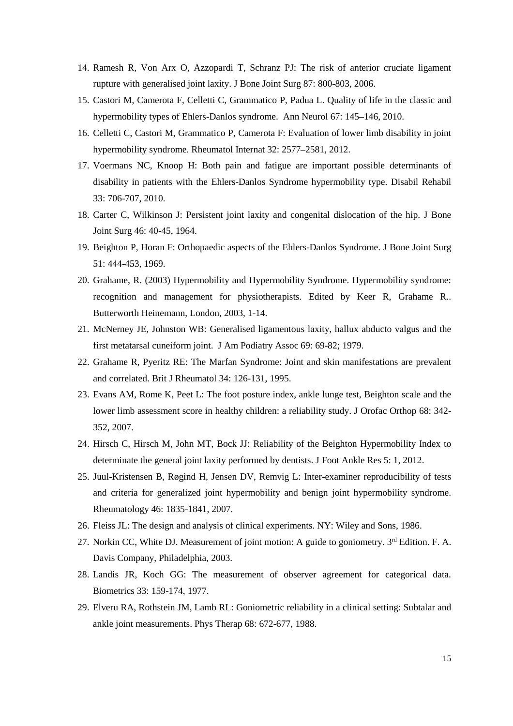- 14. Ramesh R, Von Arx O, Azzopardi T, Schranz PJ: The risk of anterior cruciate ligament rupture with generalised joint laxity. J Bone Joint Surg 87: 800-803, 2006.
- 15. Castori M, Camerota F, Celletti C, Grammatico P, Padua L. Quality of life in the classic and hypermobility types of Ehlers-Danlos syndrome. Ann Neurol 67: 145–146, 2010.
- 16. Celletti C, Castori M, Grammatico P, Camerota F: Evaluation of lower limb disability in joint hypermobility syndrome. Rheumatol Internat 32: 2577–2581, 2012.
- 17. Voermans NC, Knoop H: Both pain and fatigue are important possible determinants of disability in patients with the Ehlers-Danlos Syndrome hypermobility type. Disabil Rehabil 33: 706-707, 2010.
- 18. Carter C, Wilkinson J: Persistent joint laxity and congenital dislocation of the hip. J Bone Joint Surg 46: 40-45, 1964.
- 19. Beighton P, Horan F: Orthopaedic aspects of the Ehlers-Danlos Syndrome. J Bone Joint Surg 51: 444-453, 1969.
- 20. Grahame, R. (2003) Hypermobility and Hypermobility Syndrome. Hypermobility syndrome: recognition and management for physiotherapists. Edited by Keer R, Grahame R.. Butterworth Heinemann, London, 2003, 1-14.
- 21. McNerney JE, Johnston WB: Generalised ligamentous laxity, hallux abducto valgus and the first metatarsal cuneiform joint. J Am Podiatry Assoc 69: 69-82; 1979.
- 22. Grahame R, Pyeritz RE: The Marfan Syndrome: Joint and skin manifestations are prevalent and correlated. Brit J Rheumatol 34: 126-131, 1995.
- 23. Evans AM, Rome K, Peet L: The foot posture index, ankle lunge test, Beighton scale and the lower limb assessment score in healthy children: a reliability study. J Orofac Orthop 68: 342- 352, 2007.
- 24. Hirsch C, Hirsch M, John MT, Bock JJ: Reliability of the Beighton Hypermobility Index to determinate the general joint laxity performed by dentists. J Foot Ankle Res 5: 1, 2012.
- 25. Juul-Kristensen B, Røgind H, Jensen DV, Remvig L: Inter-examiner reproducibility of tests and criteria for generalized joint hypermobility and benign joint hypermobility syndrome. Rheumatology 46: 1835-1841, 2007.
- 26. Fleiss JL: The design and analysis of clinical experiments. NY: Wiley and Sons, 1986.
- 27. Norkin CC, White DJ. Measurement of joint motion: A guide to goniometry. 3rd Edition. F. A. Davis Company, Philadelphia, 2003.
- 28. Landis JR, Koch GG: The measurement of observer agreement for categorical data. Biometrics 33: 159-174, 1977.
- 29. Elveru RA, Rothstein JM, Lamb RL: Goniometric reliability in a clinical setting: Subtalar and ankle joint measurements. Phys Therap 68: 672-677, 1988.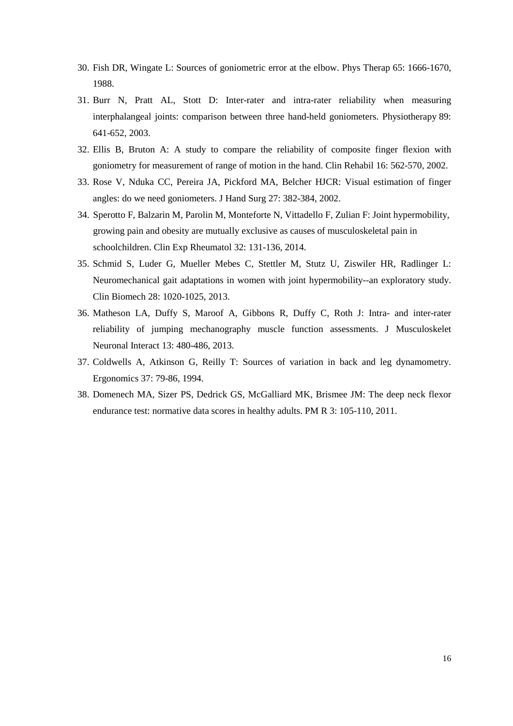- 30. Fish DR, Wingate L: Sources of goniometric error at the elbow. Phys Therap 65: 1666-1670, 1988.
- 31. Burr N, Pratt AL, Stott D: Inter-rater and intra-rater reliability when measuring interphalangeal joints: comparison between three hand-held goniometers. Physiotherapy 89: 641-652, 2003.
- 32. Ellis B, Bruton A: A study to compare the reliability of composite finger flexion with goniometry for measurement of range of motion in the hand. Clin Rehabil 16: 562-570, 2002.
- 33. Rose V, Nduka CC, Pereira JA, Pickford MA, Belcher HJCR: Visual estimation of finger angles: do we need goniometers. J Hand Surg 27: 382-384, 2002.
- 34. Sperotto F, Balzarin M, Parolin M, Monteforte N, Vittadello F, Zulian F: Joint hypermobility, growing pain and obesity are mutually exclusive as causes of musculoskeletal pain in schoolchildren. Clin Exp Rheumatol 32: 131-136, 2014.
- 35. Schmid S, Luder G, Mueller Mebes C, Stettler M, Stutz U, Ziswiler HR, Radlinger L: Neuromechanical gait adaptations in women with joint hypermobility--an exploratory study. Clin Biomech 28: 1020-1025, 2013.
- 36. Matheson LA, Duffy S, Maroof A, Gibbons R, Duffy C, Roth J: Intra- and inter-rater reliability of jumping mechanography muscle function assessments. J Musculoskelet Neuronal Interact 13: 480-486, 2013.
- 37. Coldwells A, Atkinson G, Reilly T: Sources of variation in back and leg dynamometry. Ergonomics 37: 79-86, 1994.
- 38. Domenech MA, Sizer PS, Dedrick GS, McGalliard MK, Brismee JM: The deep neck flexor endurance test: normative data scores in healthy adults. PM R 3: 105-110, 2011.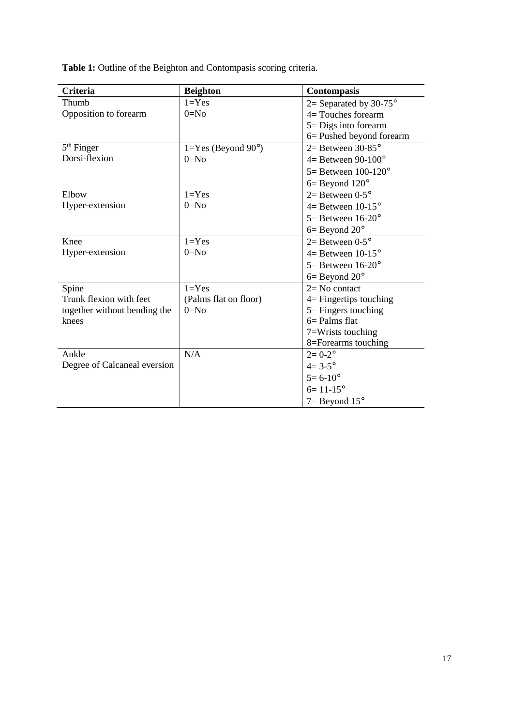**Table 1:** Outline of the Beighton and Contompasis scoring criteria.

| <b>Criteria</b>              | <b>Beighton</b>                  | <b>Contompasis</b>                |  |  |
|------------------------------|----------------------------------|-----------------------------------|--|--|
| Thumb                        | $1 = Yes$                        | 2 = Separated by 30-75 $^{\circ}$ |  |  |
| Opposition to forearm        | $0 = No$                         | $4=$ Touches forearm              |  |  |
|                              |                                  | $5 =$ Digs into forearm           |  |  |
|                              |                                  | 6 = Pushed beyond forearm         |  |  |
| $5th$ Finger                 | $1 = Yes$ (Beyond $90^{\circ}$ ) | $2=$ Between 30-85 $^{\circ}$     |  |  |
| Dorsi-flexion                | $0=N0$                           | $4=$ Between 90-100 $^{\circ}$    |  |  |
|                              |                                  | $5 =$ Between 100-120 $^{\circ}$  |  |  |
|                              |                                  | $6 = Beyond 120^{\circ}$          |  |  |
| Elbow                        | $1 = Yes$                        | $2=$ Between 0-5 $\degree$        |  |  |
| Hyper-extension              | $0 = No$                         | $4=$ Between 10-15 $\degree$      |  |  |
|                              |                                  | $5 =$ Between 16-20 $^{\circ}$    |  |  |
|                              |                                  | $6 =$ Beyond $20^{\circ}$         |  |  |
| Knee                         | $1 = Yes$                        | $2=$ Between 0-5 $\degree$        |  |  |
| Hyper-extension              | $0=N0$                           | $4=$ Between 10-15 $^{\circ}$     |  |  |
|                              |                                  | $5 =$ Between 16-20 $^{\circ}$    |  |  |
|                              |                                  | $6 = Beyond 20^{\circ}$           |  |  |
| Spine                        | $1 = Yes$                        | $2=$ No contact                   |  |  |
| Trunk flexion with feet      | (Palms flat on floor)            | $4$ = Fingertips touching         |  |  |
| together without bending the | $0=N0$                           | $5 =$ Fingers touching            |  |  |
| knees                        |                                  | $6 =$ Palms flat                  |  |  |
|                              |                                  | 7=Wrists touching                 |  |  |
|                              |                                  | 8=Forearms touching               |  |  |
| Ankle                        | N/A                              | $2 = 0 - 2^{\circ}$               |  |  |
| Degree of Calcaneal eversion |                                  | $4 = 3 - 5^{\circ}$               |  |  |
|                              |                                  | $5 = 6 - 10^{\circ}$              |  |  |
|                              |                                  | $6 = 11 - 15^{\circ}$             |  |  |
|                              |                                  | $7 = Beyond 15^{\circ}$           |  |  |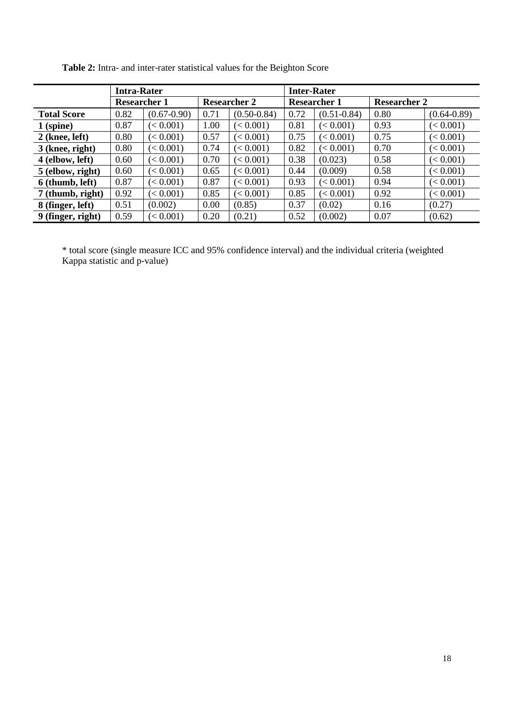|                    | <b>Intra-Rater</b>  |                 |                     |                 | <b>Inter-Rater</b>  |                 |                     |                 |
|--------------------|---------------------|-----------------|---------------------|-----------------|---------------------|-----------------|---------------------|-----------------|
|                    | <b>Researcher 1</b> |                 | <b>Researcher 2</b> |                 | <b>Researcher 1</b> |                 | <b>Researcher 2</b> |                 |
| <b>Total Score</b> | 0.82                | $(0.67 - 0.90)$ | 0.71                | $(0.50 - 0.84)$ | 0.72                | $(0.51 - 0.84)$ | 0.80                | $(0.64 - 0.89)$ |
| $1$ (spine)        | 0.87                | (< 0.001)       | 1.00                | (< 0.001)       | 0.81                | (< 0.001)       | 0.93                | (< 0.001)       |
| $2$ (knee, left)   | 0.80                | (< 0.001)       | 0.57                | (< 0.001)       | 0.75                | (< 0.001)       | 0.75                | (< 0.001)       |
| 3 (knee, right)    | 0.80                | (< 0.001)       | 0.74                | (< 0.001)       | 0.82                | (< 0.001)       | 0.70                | (< 0.001)       |
| 4 (elbow, left)    | 0.60                | (< 0.001)       | 0.70                | (< 0.001)       | 0.38                | (0.023)         | 0.58                | (< 0.001)       |
| 5 (elbow, right)   | 0.60                | (< 0.001)       | 0.65                | (< 0.001)       | 0.44                | (0.009)         | 0.58                | (< 0.001)       |
| 6 (thumb, left)    | 0.87                | $\leq 0.001$    | 0.87                | (< 0.001)       | 0.93                | (< 0.001)       | 0.94                | (< 0.001)       |
| 7 (thumb, right)   | 0.92                | $\leq 0.001$    | 0.85                | (< 0.001)       | 0.85                | (< 0.001)       | 0.92                | (< 0.001)       |
| 8 (finger, left)   | 0.51                | (0.002)         | 0.00                | (0.85)          | 0.37                | (0.02)          | 0.16                | (0.27)          |
| 9 (finger, right)  | 0.59                | $\leq 0.001$    | 0.20                | (0.21)          | 0.52                | (0.002)         | 0.07                | (0.62)          |

Table 2: Intra- and inter-rater statistical values for the Beighton Score

\* total score (single measure ICC and 95% confidence interval) and the individual criteria (weighted Kappa statistic and p-value)